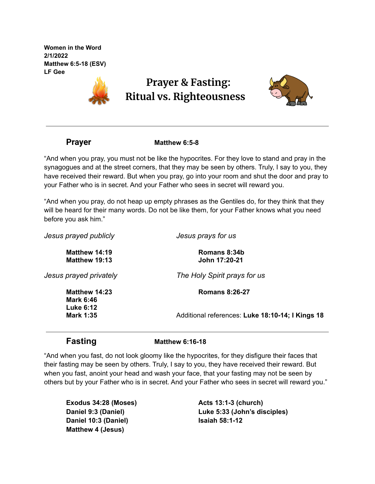**Women in the Word 2/1/2022 Matthew 6:5-18 (ESV) LF Gee**



## **Prayer & Fasting: Ritual vs. Righteousness**



**Prayer Matthew 6:5-8**

"And when you pray, you must not be like the hypocrites. For they love to stand and pray in the synagogues and at the street corners, that they may be seen by others. Truly, I say to you, they have received their reward. But when you pray, go into your room and shut the door and pray to your Father who is in secret. And your Father who sees in secret will reward you.

"And when you pray, do not heap up empty phrases as the Gentiles do, for they think that they will be heard for their many words. Do not be like them, for your Father knows what you need before you ask him."

| Jesus prayed publicly                | Jesus prays for us                               |
|--------------------------------------|--------------------------------------------------|
| Matthew 14:19<br>Matthew 19:13       | Romans 8:34b<br>John 17:20-21                    |
| Jesus prayed privately               | The Holy Spirit prays for us                     |
| Matthew 14:23<br>Mark 6:46           | <b>Romans 8:26-27</b>                            |
| <b>Luke 6:12</b><br><b>Mark 1:35</b> | Additional references: Luke 18:10-14; I Kings 18 |
|                                      |                                                  |

**Fasting Matthew 6:16-18**

"And when you fast, do not look gloomy like the hypocrites, for they disfigure their faces that their fasting may be seen by others. Truly, I say to you, they have received their reward. But when you fast, anoint your head and wash your face, that your fasting may not be seen by others but by your Father who is in secret. And your Father who sees in secret will reward you."

**Exodus 34:28 (Moses) Daniel 9:3 (Daniel) Daniel 10:3 (Daniel) Matthew 4 (Jesus)**

**Acts 13:1-3 (church) Luke 5:33 (John's disciples) Isaiah 58:1-12**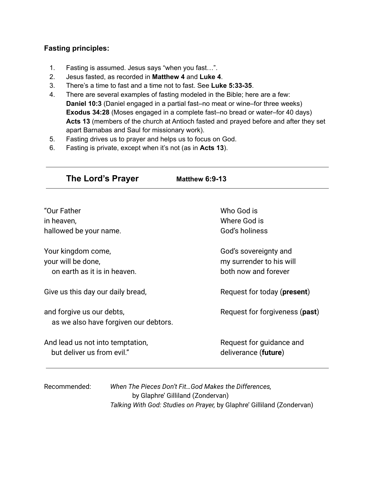### **Fasting principles:**

- 1. Fasting is assumed. Jesus says "when you fast…".
- 2. Jesus fasted, as recorded in **Matthew 4** and **Luke 4**.
- 3. There's a time to fast and a time not to fast. See **Luke 5:33-35**.
- 4. There are several examples of fasting modeled in the Bible; here are a few: **Daniel 10:3** (Daniel engaged in a partial fast–no meat or wine–for three weeks) **Exodus 34:28** (Moses engaged in a complete fast–no bread or water–for 40 days) **Acts 13** (members of the church at Antioch fasted and prayed before and after they set apart Barnabas and Saul for missionary work).
- 5. Fasting drives us to prayer and helps us to focus on God.
- 6. Fasting is private, except when it's not (as in **Acts 13**).

| The Lord's Prayer                                                  | <b>Matthew 6:9-13</b>          |
|--------------------------------------------------------------------|--------------------------------|
| "Our Father                                                        | Who God is                     |
| in heaven,                                                         | Where God is                   |
| hallowed be your name.                                             | God's holiness                 |
| Your kingdom come,                                                 | God's sovereignty and          |
| your will be done,                                                 | my surrender to his will       |
| on earth as it is in heaven.                                       | both now and forever           |
| Give us this day our daily bread,                                  | Request for today (present)    |
| and forgive us our debts,<br>as we also have forgiven our debtors. | Request for forgiveness (past) |
| And lead us not into temptation,                                   | Request for guidance and       |
| but deliver us from evil."                                         | deliverance (future)           |

| Recommended: | When The Pieces Don't FitGod Makes the Differences,                    |  |
|--------------|------------------------------------------------------------------------|--|
|              | by Glaphre' Gilliland (Zondervan)                                      |  |
|              | Talking With God: Studies on Prayer, by Glaphre' Gilliland (Zondervan) |  |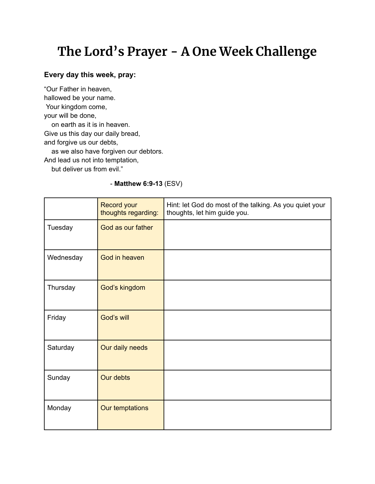# **The Lord's Prayer - A One Week Challenge**

### **Every day this week, pray:**

"Our Father in heaven, hallowed be your name. Your kingdom come, your will be done, on earth as it is in heaven. Give us this day our daily bread, and forgive us our debts, as we also have forgiven our debtors. And lead us not into temptation, but deliver us from evil."

#### - **Matthew 6:9-13** (ESV)

|           | <b>Record your</b><br>thoughts regarding: | Hint: let God do most of the talking. As you quiet your<br>thoughts, let him guide you. |
|-----------|-------------------------------------------|-----------------------------------------------------------------------------------------|
| Tuesday   | God as our father                         |                                                                                         |
| Wednesday | God in heaven                             |                                                                                         |
| Thursday  | God's kingdom                             |                                                                                         |
| Friday    | God's will                                |                                                                                         |
| Saturday  | Our daily needs                           |                                                                                         |
| Sunday    | Our debts                                 |                                                                                         |
| Monday    | Our temptations                           |                                                                                         |